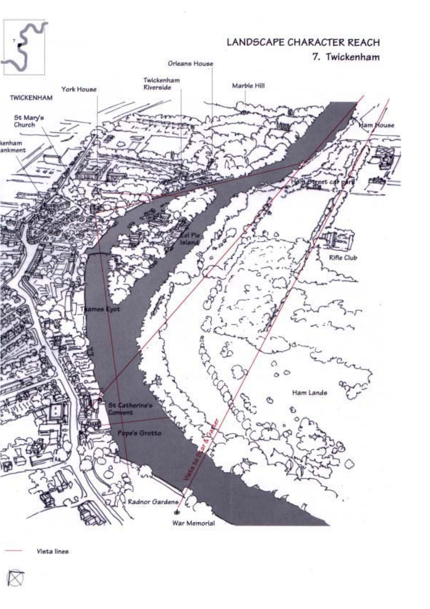

Vista lines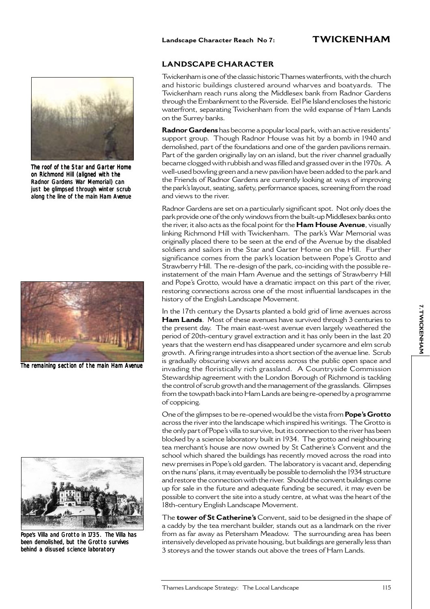

The roof of the Star and Garter Home on Richmond Hill (aligned with the Radnor Gardens War Memorial) can just be glimpsed through winter scrub along the line of the main Ham Avenue



The remaining section of the main Ham Avenue



Pope's Villa and Grotto in 1735. The Villa has been demolished, but the Grotto survives behind a disused science laboratory

## **LANDSCAPE CHARACTER**

Twickenham is one of the classic historic Thames waterfronts, with the church and historic buildings clustered around wharves and boatyards. The Twickenham reach runs along the Middlesex bank from Radnor Gardens through the Embankment to the Riverside. Eel Pie Island encloses the historic waterfront, separating Twickenham from the wild expanse of Ham Lands on the Surrey banks.

**Radnor Gardens** has become a popular local park, with an active residents' support group. Though Radnor House was hit by a bomb in 1940 and demolished, part of the foundations and one of the garden pavilions remain. Part of the garden originally lay on an island, but the river channel gradually became clogged with rubbish and was filled and grassed over in the 1970s. A well-used bowling green and a new pavilion have been added to the park and the Friends of Radnor Gardens are currently looking at ways of improving the park's layout, seating, safety, performance spaces, screening from the road and views to the river.

Radnor Gardens are set on a particularly significant spot. Not only does the park provide one of the only windows from the built-up Middlesex banks onto the river, it also acts as the focal point for the **Ham House Avenue**, visually linking Richmond Hill with Twickenham. The park's War Memorial was originally placed there to be seen at the end of the Avenue by the disabled soldiers and sailors in the Star and Garter Home on the Hill. Further significance comes from the park's location between Pope's Grotto and Strawberry Hill. The re-design of the park, co-inciding with the possible reinstatement of the main Ham Avenue and the settings of Strawberry Hill and Pope's Grotto, would have a dramatic impact on this part of the river, restoring connections across one of the most influential landscapes in the history of the English Landscape Movement.

In the 17th century the Dysarts planted a bold grid of lime avenues across **Ham Lands**. Most of these avenues have survived through 3 centuries to the present day. The main east-west avenue even largely weathered the period of 20th-century gravel extraction and it has only been in the last 20 years that the western end has disappeared under sycamore and elm scrub growth. A firing range intrudes into a short section of the avenue line. Scrub is gradually obscuring views and access across the public open space and invading the floristically rich grassland. A Countryside Commission Stewardship agreement with the London Borough of Richmond is tackling the control of scrub growth and the management of the grasslands. Glimpses from the towpath back into Ham Lands are being re-opened by a programme of coppicing.

One of the glimpses to be re-opened would be the vista from **Pope's Grotto** across the river into the landscape which inspired his writings. The Grotto is the only part of Pope's villa to survive, but its connection to the river has been blocked by a science laboratory built in 1934. The grotto and neighbouring tea merchant's house are now owned by St Catherine's Convent and the school which shared the buildings has recently moved across the road into new premises in Pope's old garden. The laboratory is vacant and, depending on the nuns' plans, it may eventually be possible to demolish the 1934 structure and restore the connection with the river. Should the convent buildings come up for sale in the future and adequate funding be secured, it may even be possible to convert the site into a study centre, at what was the heart of the 18th-century English Landscape Movement.

The **tower of St Catherine's** Convent, said to be designed in the shape of a caddy by the tea merchant builder, stands out as a landmark on the river from as far away as Petersham Meadow. The surrounding area has been intensively developed as private housing, but buildings are generally less than 3 storeys and the tower stands out above the trees of Ham Lands.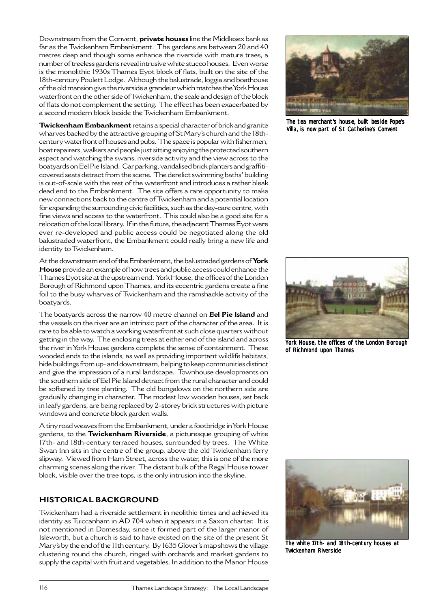Downstream from the Convent, **private houses** line the Middlesex bank as far as the Twickenham Embankment. The gardens are between 20 and 40 metres deep and though some enhance the riverside with mature trees, a number of treeless gardens reveal intrusive white stucco houses. Even worse is the monolithic 1930s Thames Eyot block of flats, built on the site of the 18th-century Poulett Lodge. Although the balustrade, loggia and boathouse of the old mansion give the riverside a grandeur which matches the York House waterfront on the other side of Twickenham, the scale and design of the block of flats do not complement the setting. The effect has been exacerbated by a second modern block beside the Twickenham Embankment.

**Twickenham Embankment** retains a special character of brick and granite wharves backed by the attractive grouping of St Mary's church and the 18thcentury waterfront of houses and pubs. The space is popular with fishermen, boat repairers, walkers and people just sitting enjoying the protected southern aspect and watching the swans, riverside activity and the view across to the boatyards on Eel Pie Island. Car parking, vandalised brick planters and graffiticovered seats detract from the scene. The derelict swimming baths' building is out-of-scale with the rest of the waterfront and introduces a rather bleak dead end to the Embankment. The site offers a rare opportunity to make new connections back to the centre of Twickenham and a potential location for expanding the surrounding civic facilities, such as the day-care centre, with fine views and access to the waterfront. This could also be a good site for a relocation of the local library. If in the future, the adjacent Thames Eyot were ever re-developed and public access could be negotiated along the old balustraded waterfront, the Embankment could really bring a new life and identity to Twickenham.

At the downstream end of the Embankment, the balustraded gardens of **York House** provide an example of how trees and public access could enhance the Thames Eyot site at the upstream end. York House, the offices of the London Borough of Richmond upon Thames, and its eccentric gardens create a fine foil to the busy wharves of Twickenham and the ramshackle activity of the boatyards.

The boatyards across the narrow 40 metre channel on **Eel Pie Island** and the vessels on the river are an intrinsic part of the character of the area. It is rare to be able to watch a working waterfront at such close quarters without getting in the way. The enclosing trees at either end of the island and across the river in York House gardens complete the sense of containment. These wooded ends to the islands, as well as providing important wildlife habitats, hide buildings from up- and downstream, helping to keep communities distinct and give the impression of a rural landscape. Townhouse developments on the southern side of Eel Pie Island detract from the rural character and could be softened by tree planting. The old bungalows on the northern side are gradually changing in character. The modest low wooden houses, set back in leafy gardens, are being replaced by 2-storey brick structures with picture windows and concrete block garden walls.

A tiny road weaves from the Embankment, under a footbridge in York House gardens, to the **Twickenham Riverside**, a picturesque grouping of white 17th- and 18th-century terraced houses, surrounded by trees. The White Swan Inn sits in the centre of the group, above the old Twickenham ferry slipway. Viewed from Ham Street, across the water, this is one of the more charming scenes along the river. The distant bulk of the Regal House tower block, visible over the tree tops, is the only intrusion into the skyline.

## **HISTORICAL BACKGROUND**

Twickenham had a riverside settlement in neolithic times and achieved its identity as Tuiccanham in AD 704 when it appears in a Saxon charter. It is not mentioned in Domesday, since it formed part of the larger manor of Isleworth, but a church is said to have existed on the site of the present St Mary's by the end of the 11th century. By 1635 Glover's map shows the village clustering round the church, ringed with orchards and market gardens to supply the capital with fruit and vegetables. In addition to the Manor House



The tea merchant's house, built beside Pope's Villa, is now part of St Catherine's Convent



York House, the offices of the London Borough of Richmond upon Thames



The white 17th- and 18th-century houses at Twickenham Riverside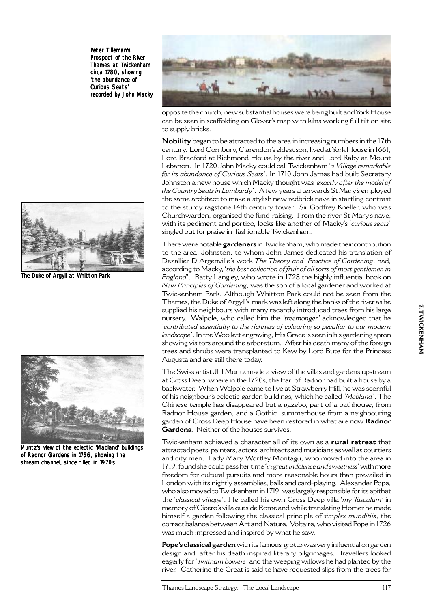Peter Tilleman's Prospect of the River Thames at Twickenham circa 1780, showing 'the abundance of Curious Seats' recorded by John Macky



opposite the church, new substantial houses were being built and York House can be seen in scaffolding on Glover's map with kilns working full tilt on site to supply bricks.

**Nobility** began to be attracted to the area in increasing numbers in the 17th century. Lord Cornbury, Clarendon's eldest son, lived at York House in 1661, Lord Bradford at Richmond House by the river and Lord Raby at Mount Lebanon. In 1720 John Macky could call Twickenham '*a Village remarkable for its abundance of Curious Seats*'. In 1710 John James had built Secretary Johnston a new house which Macky thought was '*exactly after the model of the Country Seats in Lombardy*'. A few years afterwards St Mary's employed the same architect to make a stylish new redbrick nave in startling contrast to the sturdy ragstone 14th century tower. Sir Godfrey Kneller, who was Churchwarden, organised the fund-raising. From the river St Mary's nave, with its pediment and portico, looks like another of Macky's '*curious seats*' singled out for praise in fashionable Twickenham.

There were notable **gardeners** in Twickenham, who made their contribution to the area. Johnston, to whom John James dedicated his translation of Dezallier D'Argenville's work *The Theory and Practice of Gardening*, had, according to Macky, '*the best collection of fruit of all sorts of most gentlemen in England*'. Batty Langley, who wrote in 1728 the highly influential book on *New Principles of Gardening*, was the son of a local gardener and worked at Twickenham Park. Although Whitton Park could not be seen from the Thames, the Duke of Argyll's mark was left along the banks of the river as he supplied his neighbours with many recently introduced trees from his large nursery. Walpole, who called him the *'treemonger'* acknowledged that he '*contributed essentially to the richness of colouring so peculiar to our modern landscape*'. In the Woollett engraving, His Grace is seen in his gardening apron showing visitors around the arboretum. After his death many of the foreign trees and shrubs were transplanted to Kew by Lord Bute for the Princess Augusta and are still there today.

The Swiss artist JH Muntz made a view of the villas and gardens upstream at Cross Deep, where in the 1720s, the Earl of Radnor had built a house by a backwater. When Walpole came to live at Strawberry Hill, he was scornful of his neighbour's eclectic garden buildings, which he called *'Mabland'*. The Chinese temple has disappeared but a gazebo, part of a bathhouse, from Radnor House garden, and a Gothic summerhouse from a neighbouring garden of Cross Deep House have been restored in what are now **Radnor Gardens**. Neither of the houses survives.

Twickenham achieved a character all of its own as a **rural retreat** that attracted poets, painters, actors, architects and musicians as well as courtiers and city men. Lady Mary Wortley Montagu, who moved into the area in 1719, found she could pass her time '*in great indolence and sweetness*' with more freedom for cultural pursuits and more reasonable hours than prevailed in London with its nightly assemblies, balls and card-playing. Alexander Pope, who also moved to Twickenham in 17I9, was largely responsible for its epithet the '*classical village*'. He called his own Cross Deep villa '*my Tusculum*' in memory of Cicero's villa outside Rome and while translating Homer he made himself a garden following the classical principle of *simplex munditiis*, the correct balance between Art and Nature. Voltaire, who visited Pope in 1726 was much impressed and inspired by what he saw.

**Pope's classical garden** with its famous grotto was very influential on garden design and after his death inspired literary pilgrimages. Travellers looked eagerly for '*Twitnam bowers'* and the weeping willows he had planted by the river. Catherine the Great is said to have requested slips from the trees for



The Duke of Argyll at Whitton Park



Muntz's view of the eclectic 'Mabland' buildings of Radnor Gardens in 1756, showing the stream channel, since filled in 1970s

**7. TWICKENHAM**

7. TWICKENHAM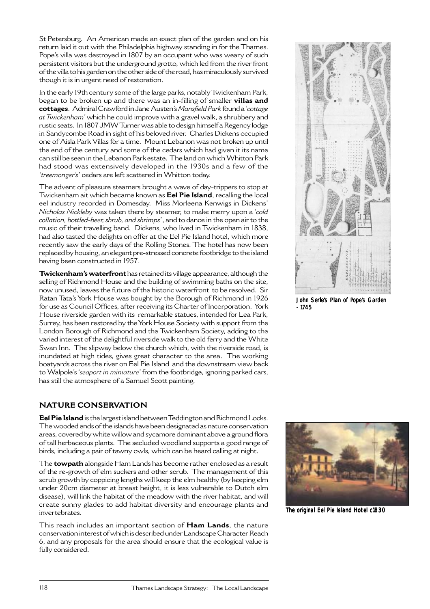St Petersburg. An American made an exact plan of the garden and on his return laid it out with the Philadelphia highway standing in for the Thames. Pope's villa was destroyed in 1807 by an occupant who was weary of such persistent visitors but the underground grotto, which led from the river front of the villa to his garden on the other side of the road, has miraculously survived though it is in urgent need of restoration.

In the early 19th century some of the large parks, notably Twickenham Park, began to be broken up and there was an in-filling of smaller **villas and cottages**. Admiral Crawford in Jane Austen's *Mansfield Park* found a '*cottage at Twickenham*' which he could improve with a gravel walk, a shrubbery and rustic seats. In 1807 JMW Turner was able to design himself a Regency lodge in Sandycombe Road in sight of his beloved river. Charles Dickens occupied one of Aisla Park Villas for a time. Mount Lebanon was not broken up until the end of the century and some of the cedars which had given it its name can still be seen in the Lebanon Park estate. The land on which Whitton Park had stood was extensively developed in the 1930s and a few of the '*treemonger's'* cedars are left scattered in Whitton today.

The advent of pleasure steamers brought a wave of day-trippers to stop at Twickenham ait which became known as **Eel Pie Island**, recalling the local eel industry recorded in Domesday. Miss Morleena Kenwigs in Dickens' *Nicholas Nickleby* was taken there by steamer, to make merry upon a '*cold collation, bottled-beer, shrub, and shrimps*', and to dance in the open air to the music of their travelling band. Dickens, who lived in Twickenham in 1838, had also tasted the delights on offer at the Eel Pie Island hotel, which more recently saw the early days of the Rolling Stones. The hotel has now been replaced by housing, an elegant pre-stressed concrete footbridge to the island having been constructed in 1957.

**Twickenham's waterfront** has retained its village appearance, although the selling of Richmond House and the building of swimming baths on the site, now unused, leaves the future of the historic waterfront to be resolved. Sir Ratan Tata's York House was bought by the Borough of Richmond in 1926 for use as Council Offices, after receiving its Charter of Incorporation. York House riverside garden with its remarkable statues, intended for Lea Park, Surrey, has been restored by the York House Society with support from the London Borough of Richmond and the Twickenham Society, adding to the varied interest of the delightful riverside walk to the old ferry and the White Swan Inn. The slipway below the church which, with the riverside road, is inundated at high tides, gives great character to the area. The working boatyards across the river on Eel Pie Island and the downstream view back to Walpole's '*seaport in miniature*' from the footbridge, ignoring parked cars, has still the atmosphere of a Samuel Scott painting.

# **NATURE CONSERVATION**

**Eel Pie Island** is the largest island between Teddington and Richmond Locks. The wooded ends of the islands have been designated as nature conservation areas, covered by white willow and sycamore dominant above a ground flora of tall herbaceous plants. The secluded woodland supports a good range of birds, including a pair of tawny owls, which can be heard calling at night.

The **towpath** alongside Ham Lands has become rather enclosed as a result of the re-growth of elm suckers and other scrub. The management of this scrub growth by coppicing lengths will keep the elm healthy (by keeping elm under 20cm diameter at breast height, it is less vulnerable to Dutch elm disease), will link the habitat of the meadow with the river habitat, and will create sunny glades to add habitat diversity and encourage plants and invertebrates.

This reach includes an important section of **Ham Lands**, the nature conservation interest of which is described under Landscape Character Reach 6, and any proposals for the area should ensure that the ecological value is fully considered.



John Serle's Plan of Pope's Garden - 1745



The original Eel Pie Island Hotel c1830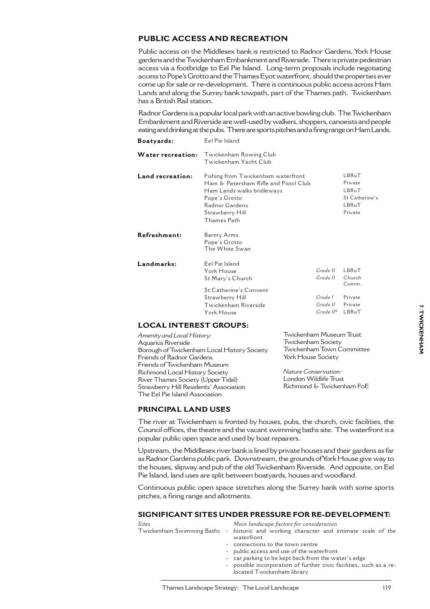## **PUBLIC ACCESS AND RECREATION**

Public access on the Middlesex bank is restricted to Radnor Gardens, York House gardens and the Twickenham Embankment and Riverside. There is private pedestrian access via a footbridge to Eel Pie Island. Long-term proposals include negotiating access to Pope's Grotto and the Thames Eyot waterfront, should the properties ever come up for sale or re-development. There is continuous public access across Ham Lands and along the Surrey bank towpath, part of the Thames path. Twickenham has a British Rail station.

Radnor Gardens is a popular local park with an active bowling club. The Twickenham Embankment and Riverside are well-used by walkers, shoppers, canoeists and people eating and drinking at the pubs. There are sports pitches and a firing range on Ham Lands.

| Boatyards:            | Eel Pie Island                                                                                                                                                                 |                                       |                                                                        |
|-----------------------|--------------------------------------------------------------------------------------------------------------------------------------------------------------------------------|---------------------------------------|------------------------------------------------------------------------|
| Water recreation:     | Twickenham Rowing Club<br>Twickenham Yacht Club                                                                                                                                |                                       |                                                                        |
| Land recreation:      | Fishing from Twickenham waterfront<br>Ham & Petersham Rifle and Pistol Club<br>Ham Lands walks bridleways<br>Pope's Grotto<br>Radnor Gardens<br>Strawberry Hill<br>Thames Path |                                       | <b>LBRuT</b><br>Private<br>LBRuT<br>St Catherine's<br>LBRuT<br>Private |
| Refreshment:          | Barmy Arms<br>Pope's Grotto<br>The White Swan                                                                                                                                  |                                       |                                                                        |
| Landmarks:            | Eel Pie Island<br>York House<br>St Mary's Church<br>St Catherine's Convent                                                                                                     | Grade II<br>Grade II                  | LBR <sub>u</sub> T<br>Church<br>Comm.                                  |
|                       | Strawberry Hill<br>Twickenham Riverside<br>York House                                                                                                                          | Grade L<br>Grade II<br>$Grade$ $II^*$ | Private<br>Private<br>LBRuT                                            |
| OCAL INTERFST GROUPS. |                                                                                                                                                                                |                                       |                                                                        |

#### **LOCAL INTEREST GROUPS:**

| Amenity and Local History:                  | Twickenham Museum Trust     |  |  |
|---------------------------------------------|-----------------------------|--|--|
| Aquarius Riverside                          | Twickenham Society          |  |  |
| Borough of Twickenham Local History Society | Twickenham Town Committee   |  |  |
| Friends of Radnor Gardens                   | York House Society          |  |  |
| Friends of Twickenham Museum                |                             |  |  |
| Richmond Local History Society              | <i>Nature Conservation:</i> |  |  |
| River Thames Society (Upper Tidal)          | London Wildlife Trust       |  |  |
| Strawberry Hill Residents' Association      | Richmond & Twickenham FoE   |  |  |
| The Eel Pie Island Association              |                             |  |  |

### **PRINCIPAL LAND USES**

The river at Twickenham is fronted by houses, pubs, the church, civic facilities, the Council offices, the theatre and the vacant swimming baths site. The waterfront is a popular public open space and used by boat repairers.

Upstream, the Middlesex river bank is lined by private houses and their gardens as far as Radnor Gardens public park. Downstream, the grounds of York House give way to the houses, slipway and pub of the old Twickenham Riverside. And opposite, on Eel Pie Island, land uses are split between boatyards, houses and woodland.

Continuous public open space stretches along the Surrey bank with some sports pitches, a firing range and allotments.

#### **SIGNIFICANT SITES UNDER PRESSURE FOR RE-DEVELOPMENT:**

*Sites Main landscape factors for consideration*

- Twickenham Swimming Baths historic and working character and intimate scale of the waterfront
	- connections to the town centre
	- public access and use of the waterfront
	- car parking to be kept back from the water's edge
	- possible incorporation of further civic facilities, such as a relocated Twickenham library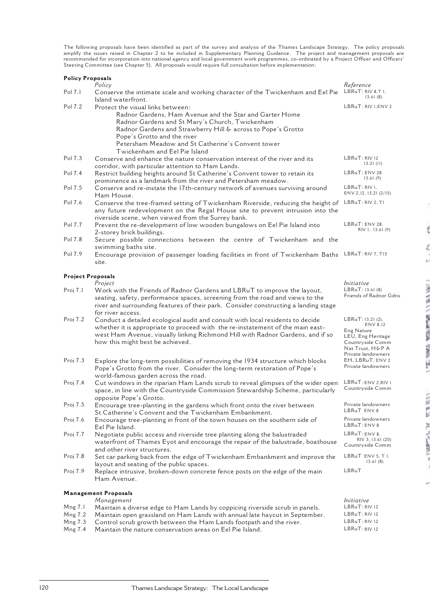The following proposals have been identified as part of the survey and analysis of the Thames Landscape Strategy. The policy proposals amplify the issues raised in Chapter 2 to be included in Supplementary Planning Guidance. The project and management proposals are recommended for incorporation into national agency and local government work programmes, co-ordinated by a Project Officer and Officers' Steering Committee (see Chapter 5). All proposals would require full consultation before implementation:

| <b>Policy Proposals</b>       | Policy                                                                                                                                                                                                                                                                                                                               | Reference                                                                                                                     |
|-------------------------------|--------------------------------------------------------------------------------------------------------------------------------------------------------------------------------------------------------------------------------------------------------------------------------------------------------------------------------------|-------------------------------------------------------------------------------------------------------------------------------|
| Pol 7.1                       | Conserve the intimate scale and working character of the Twickenham and Eel Pie<br>Island waterfront.                                                                                                                                                                                                                                | LBRuT: RIV 8,T 1,<br>13.61(8)                                                                                                 |
| Pol 7.2                       | Protect the visual links between:<br>Radnor Gardens, Ham Avenue and the Star and Garter Home<br>Radnor Gardens and St Mary's Church, Twickenham<br>Radnor Gardens and Strawberry Hill & across to Pope's Grotto<br>Pope's Grotto and the river<br>Petersham Meadow and St Catherine's Convent tower<br>Twickenham and Eel Pie Island | LBRuT: RIV I, ENV 2                                                                                                           |
| Pol 7.3                       | Conserve and enhance the nature conservation interest of the river and its<br>corridor, with particular attention to Ham Lands.                                                                                                                                                                                                      | LBRuT: RIV 12<br>13.21(11)                                                                                                    |
| Pol 7.4                       | Restrict building heights around St Catherine's Convent tower to retain its<br>prominence as a landmark from the river and Petersham meadow.                                                                                                                                                                                         | LBRuT: ENV 28<br>13.61(9)                                                                                                     |
| Pol 7.5                       | Conserve and re-instate the 17th-century network of avenues surviving around<br>Ham House.                                                                                                                                                                                                                                           | LBRuT: RIV I,<br>ENV 2,12, 13.21 (2/15)                                                                                       |
| Pol 7.6                       | Conserve the tree-framed setting of Twickenham Riverside, reducing the height of<br>any future redevelopment on the Regal House site to prevent intrusion into the                                                                                                                                                                   | LBRuT: RIV 2, TI                                                                                                              |
| Pol 7.7                       | riverside scene, when viewed from the Surrey bank.<br>Prevent the re-development of low wooden bungalows on Eel Pie Island into<br>2-storey brick buildings.                                                                                                                                                                         | LBRuT: ENV 28,<br>RIV 1, 13.61 (9)                                                                                            |
| Pol 7.8                       | Secure possible connections between the centre of Twickenham and the<br>swimming baths site.                                                                                                                                                                                                                                         |                                                                                                                               |
| Pol 7.9                       | Encourage provision of passenger loading facilities in front of Twickenham Baths<br>site.                                                                                                                                                                                                                                            | LBRuT: RIV 7, T15                                                                                                             |
| <b>Project Proposals</b>      |                                                                                                                                                                                                                                                                                                                                      |                                                                                                                               |
| Proj 7.1                      | Project<br>Work with the Friends of Radnor Gardens and LBRuT to improve the layout,<br>seating, safety, performance spaces, screening from the road and views to the<br>river and surrounding features of their park. Consider constructing a landing stage<br>for river access.                                                     | Initiative<br>LBRuT: 13.61 (8)<br>Friends of Radnor Gdns                                                                      |
| Proj 7.2                      | Conduct a detailed ecological audit and consult with local residents to decide<br>whether it is appropriate to proceed with the re-instatement of the main east-<br>west Ham Avenue, visually linking Richmond Hill with Radnor Gardens, and if so<br>how this might best be achieved.                                               | LBRuT: 13.21(2),<br>ENV 8,12<br>Eng Nature<br>LEU, Eng Heritage<br>Countryside Comm<br>Nat Trust, H&P A<br>Private landowners |
| Proj 7.3                      | Explore the long-term possibilities of removing the 1934 structure which blocks<br>Pope's Grotto from the river. Consider the long-term restoration of Pope's<br>world-famous garden across the road.                                                                                                                                | EH, LBRuT: ENV 2<br>Private landowners                                                                                        |
| Proj 7.4                      | Cut windows in the riparian Ham Lands scrub to reveal glimpses of the wider open<br>space, in line with the Countryside Commission Stewardship Scheme, particularly<br>opposite Pope's Grotto.                                                                                                                                       | LBRuT: ENV 2, RIV 1<br>Countryside Comm                                                                                       |
| Proj 7.5                      | Encourage tree-planting in the gardens which front onto the river between<br>St Catherine's Convent and the Twickenham Embankment.                                                                                                                                                                                                   | Private landowners<br>LBRuT ENV8                                                                                              |
| Proj 7.6                      | Encourage tree-planting in front of the town houses on the southern side of<br>Eel Pie Island.                                                                                                                                                                                                                                       | Private landowners<br>LBRuT: ENV 8                                                                                            |
| Proj 7.7                      | Negotiate public access and riverside tree planting along the balustraded<br>waterfront of Thames Eyot and encourage the repair of the balustrade, boathouse<br>and other river structures.                                                                                                                                          | LBRuT: ENV 8,<br>RIV 3, 13.61 (20)<br>Countryside Comm                                                                        |
| Proj 7.8                      | Set car parking back from the edge of Twickenham Embankment and improve the<br>layout and seating of the public spaces.                                                                                                                                                                                                              | LBRuT ENV 5, T I,<br>13.61(8)                                                                                                 |
| Proj 7.9                      | Replace intrusive, broken-down concrete fence posts on the edge of the main<br>Ham Avenue.                                                                                                                                                                                                                                           | LBRuT                                                                                                                         |
|                               | Management Proposals                                                                                                                                                                                                                                                                                                                 |                                                                                                                               |
| Mng 7.1<br>Mng 7.2<br>Mng 7.3 | Management<br>Maintain a diverse edge to Ham Lands by coppicing riverside scrub in panels.<br>Maintain open grassland on Ham Lands with annual late haycut in September.<br>Control scrub growth between the Ham Lands footpath and the river.                                                                                       | Initiative<br>LBRuT: RIV 12<br>LBRuT: RIV 12<br>LBRuT: RIV 12                                                                 |

Mng 7.4 Maintain the nature conservation areas on Eel Pie Island. LBRuT: RIV 12